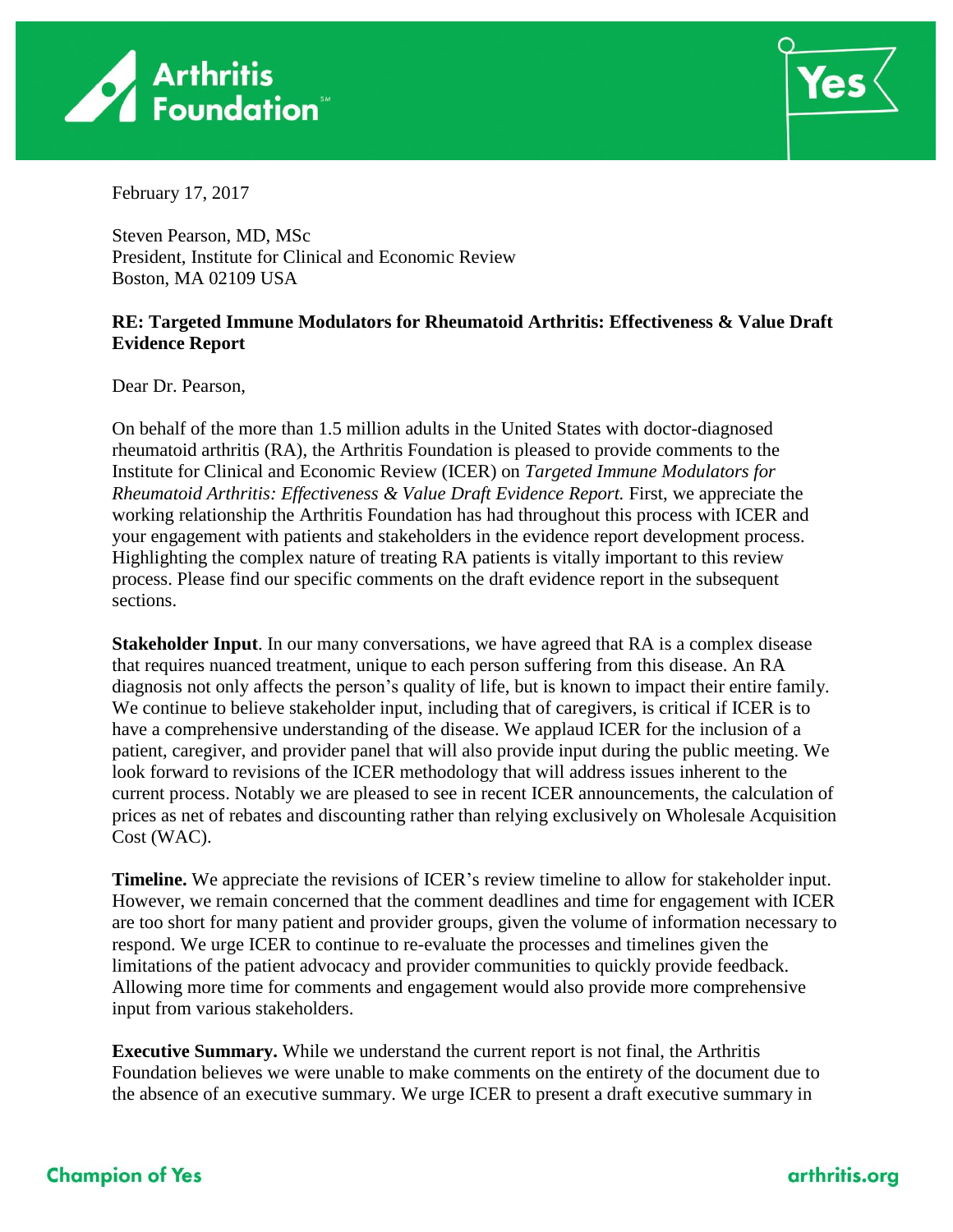



February 17, 2017

Steven Pearson, MD, MSc President, Institute for Clinical and Economic Review Boston, MA 02109 USA

#### **RE: Targeted Immune Modulators for Rheumatoid Arthritis: Effectiveness & Value Draft Evidence Report**

Dear Dr. Pearson,

On behalf of the more than 1.5 million adults in the United States with doctor-diagnosed rheumatoid arthritis (RA), the Arthritis Foundation is pleased to provide comments to the Institute for Clinical and Economic Review (ICER) on *Targeted Immune Modulators for Rheumatoid Arthritis: Effectiveness & Value Draft Evidence Report.* First, we appreciate the working relationship the Arthritis Foundation has had throughout this process with ICER and your engagement with patients and stakeholders in the evidence report development process. Highlighting the complex nature of treating RA patients is vitally important to this review process. Please find our specific comments on the draft evidence report in the subsequent sections.

**Stakeholder Input**. In our many conversations, we have agreed that RA is a complex disease that requires nuanced treatment, unique to each person suffering from this disease. An RA diagnosis not only affects the person's quality of life, but is known to impact their entire family. We continue to believe stakeholder input, including that of caregivers, is critical if ICER is to have a comprehensive understanding of the disease. We applaud ICER for the inclusion of a patient, caregiver, and provider panel that will also provide input during the public meeting. We look forward to revisions of the ICER methodology that will address issues inherent to the current process. Notably we are pleased to see in recent ICER announcements, the calculation of prices as net of rebates and discounting rather than relying exclusively on Wholesale Acquisition Cost (WAC).

**Timeline.** We appreciate the revisions of ICER's review timeline to allow for stakeholder input. However, we remain concerned that the comment deadlines and time for engagement with ICER are too short for many patient and provider groups, given the volume of information necessary to respond. We urge ICER to continue to re-evaluate the processes and timelines given the limitations of the patient advocacy and provider communities to quickly provide feedback. Allowing more time for comments and engagement would also provide more comprehensive input from various stakeholders.

**Executive Summary.** While we understand the current report is not final, the Arthritis Foundation believes we were unable to make comments on the entirety of the document due to the absence of an executive summary. We urge ICER to present a draft executive summary in

## **Champion of Yes**

#### arthritis.org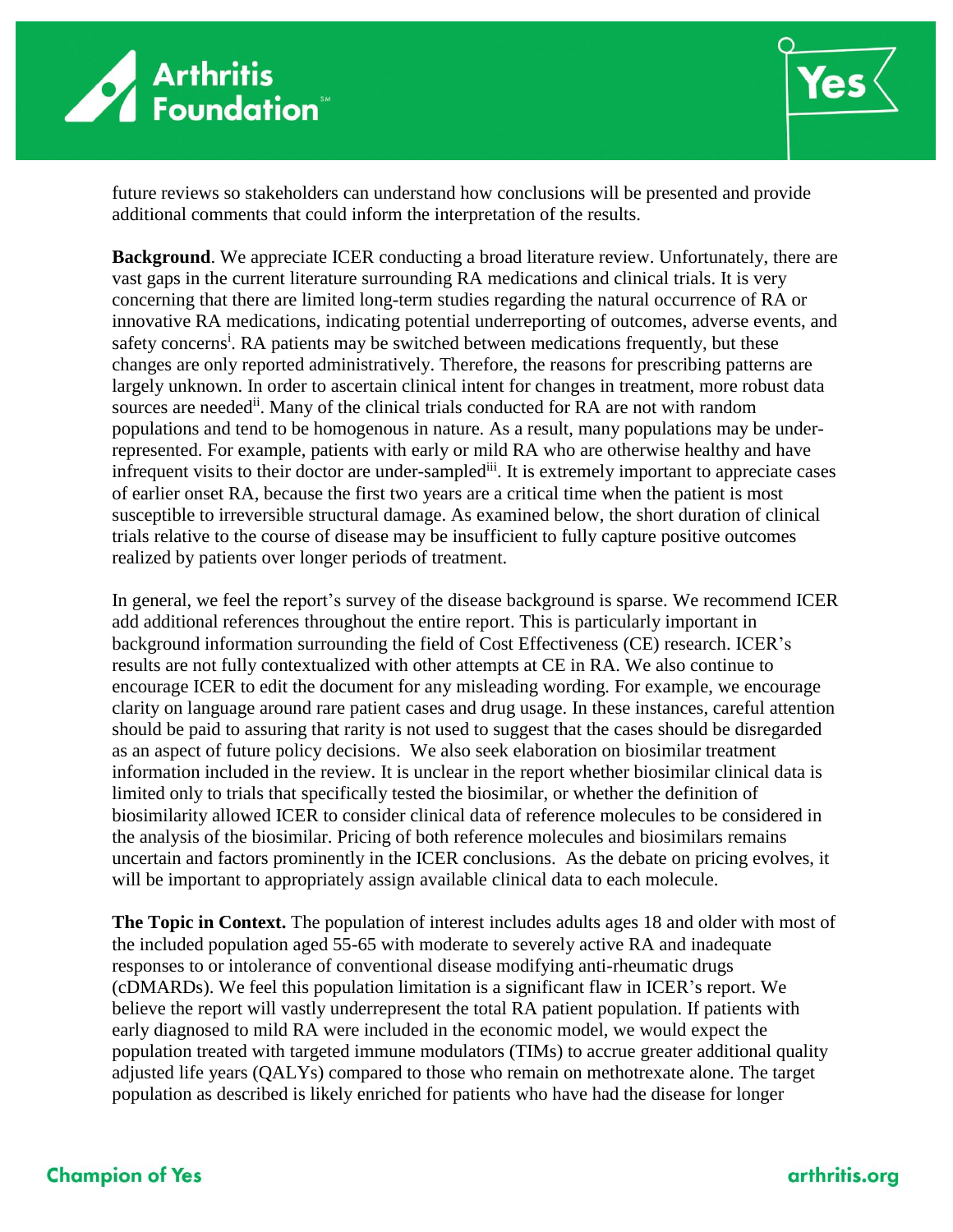



future reviews so stakeholders can understand how conclusions will be presented and provide additional comments that could inform the interpretation of the results.

**Background**. We appreciate ICER conducting a broad literature review. Unfortunately, there are vast gaps in the current literature surrounding RA medications and clinical trials. It is very concerning that there are limited long-term studies regarding the natural occurrence of RA or innovative RA medications, indicating potential underreporting of outcomes, adverse events, and safety concerns<sup>i</sup>. RA patients may be switched between medications frequently, but these changes are only reported administratively. Therefore, the reasons for prescribing patterns are largely unknown. In order to ascertain clinical intent for changes in treatment, more robust data sources are needed<sup>ii</sup>. Many of the clinical trials conducted for RA are not with random populations and tend to be homogenous in nature. As a result, many populations may be underrepresented. For example, patients with early or mild RA who are otherwise healthy and have infrequent visits to their doctor are under-sampled<sup>iii</sup>. It is extremely important to appreciate cases of earlier onset RA, because the first two years are a critical time when the patient is most susceptible to irreversible structural damage. As examined below, the short duration of clinical trials relative to the course of disease may be insufficient to fully capture positive outcomes realized by patients over longer periods of treatment.

In general, we feel the report's survey of the disease background is sparse. We recommend ICER add additional references throughout the entire report. This is particularly important in background information surrounding the field of Cost Effectiveness (CE) research. ICER's results are not fully contextualized with other attempts at CE in RA. We also continue to encourage ICER to edit the document for any misleading wording. For example, we encourage clarity on language around rare patient cases and drug usage. In these instances, careful attention should be paid to assuring that rarity is not used to suggest that the cases should be disregarded as an aspect of future policy decisions. We also seek elaboration on biosimilar treatment information included in the review. It is unclear in the report whether biosimilar clinical data is limited only to trials that specifically tested the biosimilar, or whether the definition of biosimilarity allowed ICER to consider clinical data of reference molecules to be considered in the analysis of the biosimilar. Pricing of both reference molecules and biosimilars remains uncertain and factors prominently in the ICER conclusions. As the debate on pricing evolves, it will be important to appropriately assign available clinical data to each molecule.

**The Topic in Context.** The population of interest includes adults ages 18 and older with most of the included population aged 55-65 with moderate to severely active RA and inadequate responses to or intolerance of conventional disease modifying anti-rheumatic drugs (cDMARDs). We feel this population limitation is a significant flaw in ICER's report. We believe the report will vastly underrepresent the total RA patient population. If patients with early diagnosed to mild RA were included in the economic model, we would expect the population treated with targeted immune modulators (TIMs) to accrue greater additional quality adjusted life years (QALYs) compared to those who remain on methotrexate alone. The target population as described is likely enriched for patients who have had the disease for longer

## **Champion of Yes**

#### arthritis.org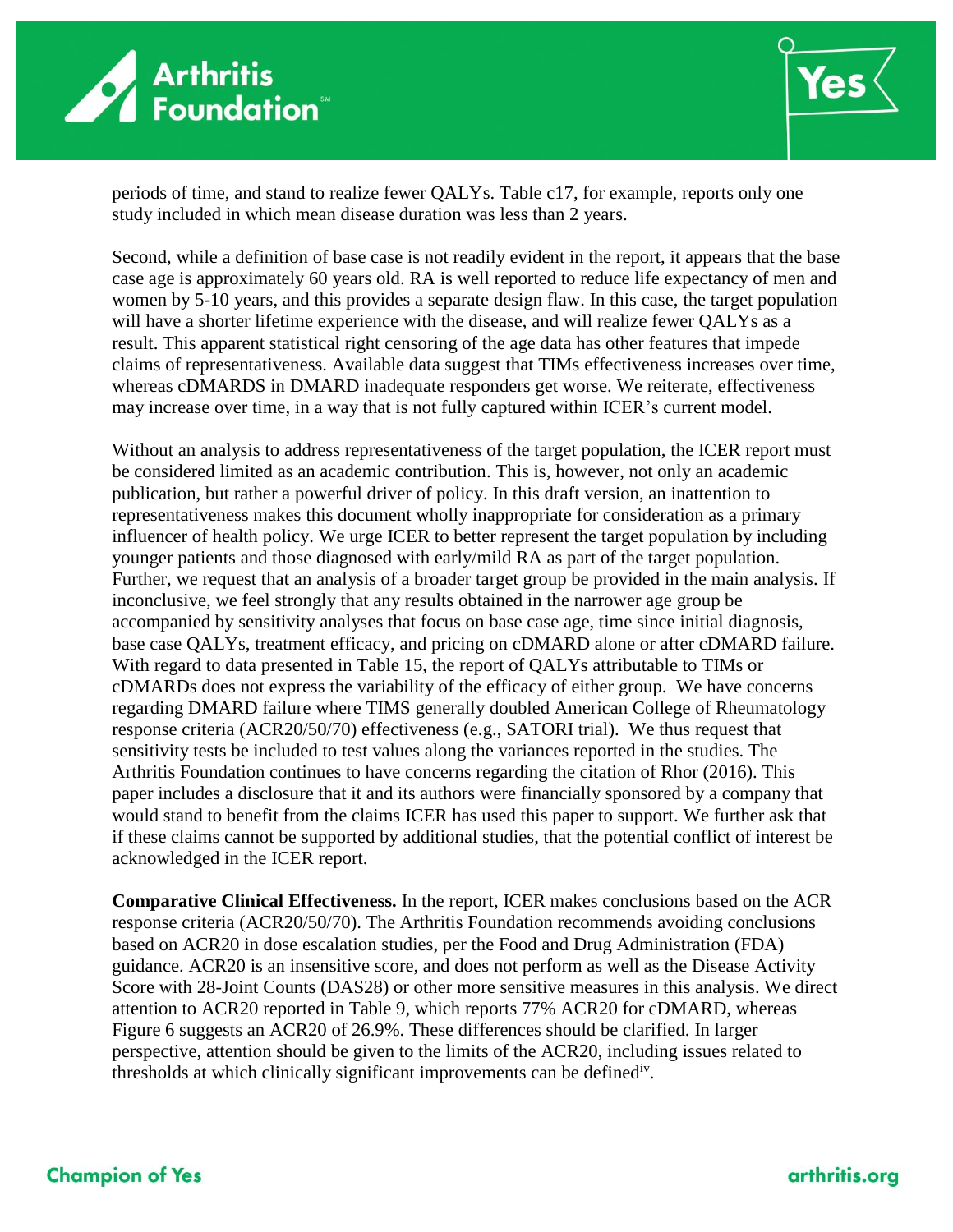



periods of time, and stand to realize fewer QALYs. Table c17, for example, reports only one study included in which mean disease duration was less than 2 years.

Second, while a definition of base case is not readily evident in the report, it appears that the base case age is approximately 60 years old. RA is well reported to reduce life expectancy of men and women by 5-10 years, and this provides a separate design flaw. In this case, the target population will have a shorter lifetime experience with the disease, and will realize fewer QALYs as a result. This apparent statistical right censoring of the age data has other features that impede claims of representativeness. Available data suggest that TIMs effectiveness increases over time, whereas cDMARDS in DMARD inadequate responders get worse. We reiterate, effectiveness may increase over time, in a way that is not fully captured within ICER's current model.

Without an analysis to address representativeness of the target population, the ICER report must be considered limited as an academic contribution. This is, however, not only an academic publication, but rather a powerful driver of policy. In this draft version, an inattention to representativeness makes this document wholly inappropriate for consideration as a primary influencer of health policy. We urge ICER to better represent the target population by including younger patients and those diagnosed with early/mild RA as part of the target population. Further, we request that an analysis of a broader target group be provided in the main analysis. If inconclusive, we feel strongly that any results obtained in the narrower age group be accompanied by sensitivity analyses that focus on base case age, time since initial diagnosis, base case QALYs, treatment efficacy, and pricing on cDMARD alone or after cDMARD failure. With regard to data presented in Table 15, the report of QALYs attributable to TIMs or cDMARDs does not express the variability of the efficacy of either group. We have concerns regarding DMARD failure where TIMS generally doubled American College of Rheumatology response criteria (ACR20/50/70) effectiveness (e.g., SATORI trial). We thus request that sensitivity tests be included to test values along the variances reported in the studies. The Arthritis Foundation continues to have concerns regarding the citation of Rhor (2016). This paper includes a disclosure that it and its authors were financially sponsored by a company that would stand to benefit from the claims ICER has used this paper to support. We further ask that if these claims cannot be supported by additional studies, that the potential conflict of interest be acknowledged in the ICER report.

**Comparative Clinical Effectiveness.** In the report, ICER makes conclusions based on the ACR response criteria (ACR20/50/70). The Arthritis Foundation recommends avoiding conclusions based on ACR20 in dose escalation studies, per the Food and Drug Administration (FDA) guidance. ACR20 is an insensitive score, and does not perform as well as the Disease Activity Score with 28-Joint Counts (DAS28) or other more sensitive measures in this analysis. We direct attention to ACR20 reported in Table 9, which reports 77% ACR20 for cDMARD, whereas Figure 6 suggests an ACR20 of 26.9%. These differences should be clarified. In larger perspective, attention should be given to the limits of the ACR20, including issues related to thresholds at which clinically significant improvements can be defined<sup>iv</sup>.

## **Champion of Yes**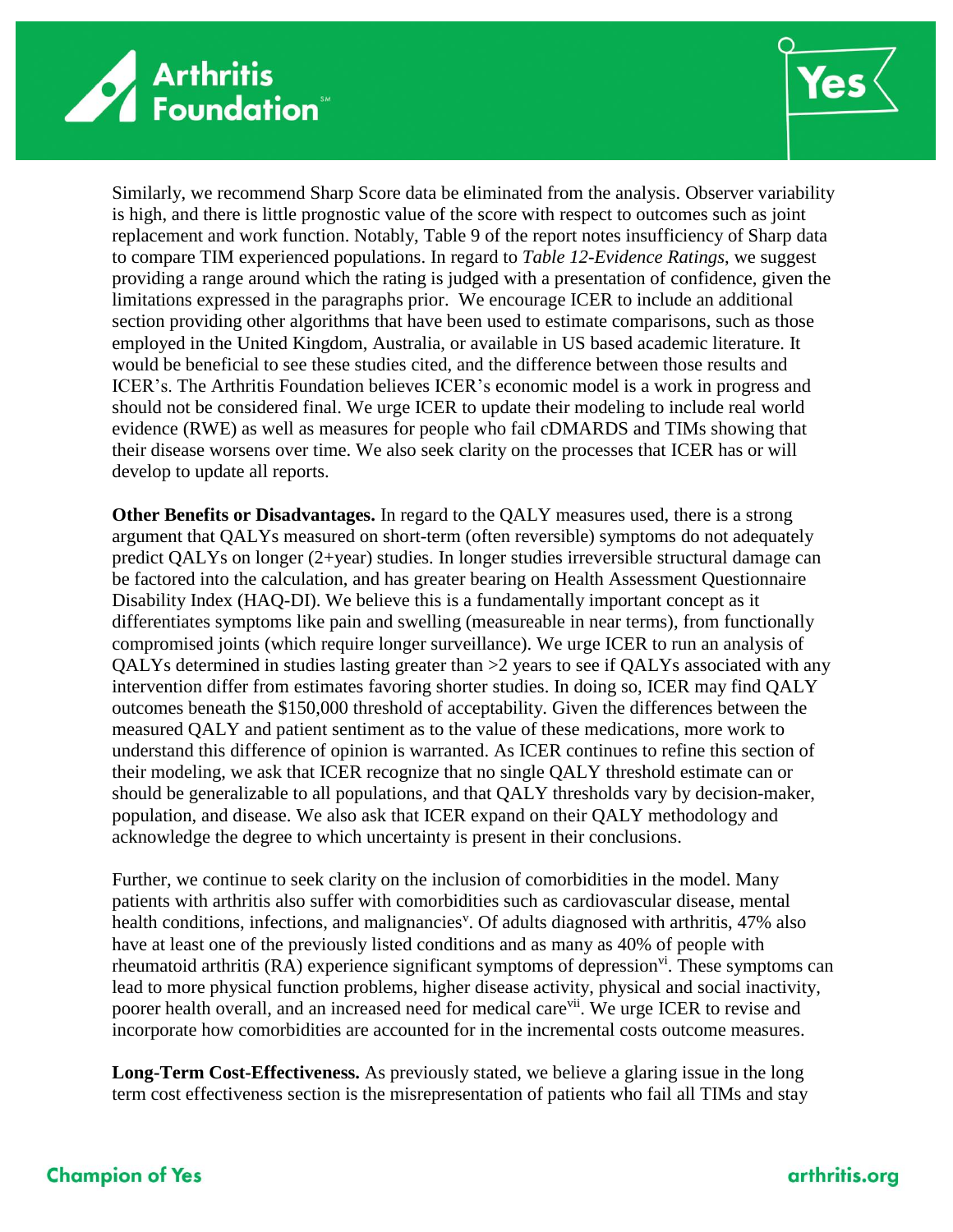



Similarly, we recommend Sharp Score data be eliminated from the analysis. Observer variability is high, and there is little prognostic value of the score with respect to outcomes such as joint replacement and work function. Notably, Table 9 of the report notes insufficiency of Sharp data to compare TIM experienced populations. In regard to *Table 12-Evidence Ratings*, we suggest providing a range around which the rating is judged with a presentation of confidence, given the limitations expressed in the paragraphs prior.We encourage ICER to include an additional section providing other algorithms that have been used to estimate comparisons, such as those employed in the United Kingdom, Australia, or available in US based academic literature. It would be beneficial to see these studies cited, and the difference between those results and ICER's. The Arthritis Foundation believes ICER's economic model is a work in progress and should not be considered final. We urge ICER to update their modeling to include real world evidence (RWE) as well as measures for people who fail cDMARDS and TIMs showing that their disease worsens over time. We also seek clarity on the processes that ICER has or will develop to update all reports.

**Other Benefits or Disadvantages.** In regard to the QALY measures used, there is a strong argument that QALYs measured on short-term (often reversible) symptoms do not adequately predict QALYs on longer (2+year) studies. In longer studies irreversible structural damage can be factored into the calculation, and has greater bearing on Health Assessment Questionnaire Disability Index (HAQ-DI). We believe this is a fundamentally important concept as it differentiates symptoms like pain and swelling (measureable in near terms), from functionally compromised joints (which require longer surveillance). We urge ICER to run an analysis of QALYs determined in studies lasting greater than >2 years to see if QALYs associated with any intervention differ from estimates favoring shorter studies. In doing so, ICER may find QALY outcomes beneath the \$150,000 threshold of acceptability. Given the differences between the measured QALY and patient sentiment as to the value of these medications, more work to understand this difference of opinion is warranted. As ICER continues to refine this section of their modeling, we ask that ICER recognize that no single QALY threshold estimate can or should be generalizable to all populations, and that QALY thresholds vary by decision-maker, population, and disease. We also ask that ICER expand on their QALY methodology and acknowledge the degree to which uncertainty is present in their conclusions.

Further, we continue to seek clarity on the inclusion of comorbidities in the model. Many patients with arthritis also suffer with comorbidities such as cardiovascular disease, mental health conditions, infections, and malignancies<sup>v</sup>. Of adults diagnosed with arthritis, 47% also have at least one of the previously listed conditions and as many as 40% of people with rheumatoid arthritis (RA) experience significant symptoms of depression<sup>vi</sup>. These symptoms can lead to more physical function problems, higher disease activity, physical and social inactivity, poorer health overall, and an increased need for medical care<sup>vii</sup>. We urge ICER to revise and incorporate how comorbidities are accounted for in the incremental costs outcome measures.

**Long-Term Cost-Effectiveness.** As previously stated, we believe a glaring issue in the long term cost effectiveness section is the misrepresentation of patients who fail all TIMs and stay

# **Champion of Yes**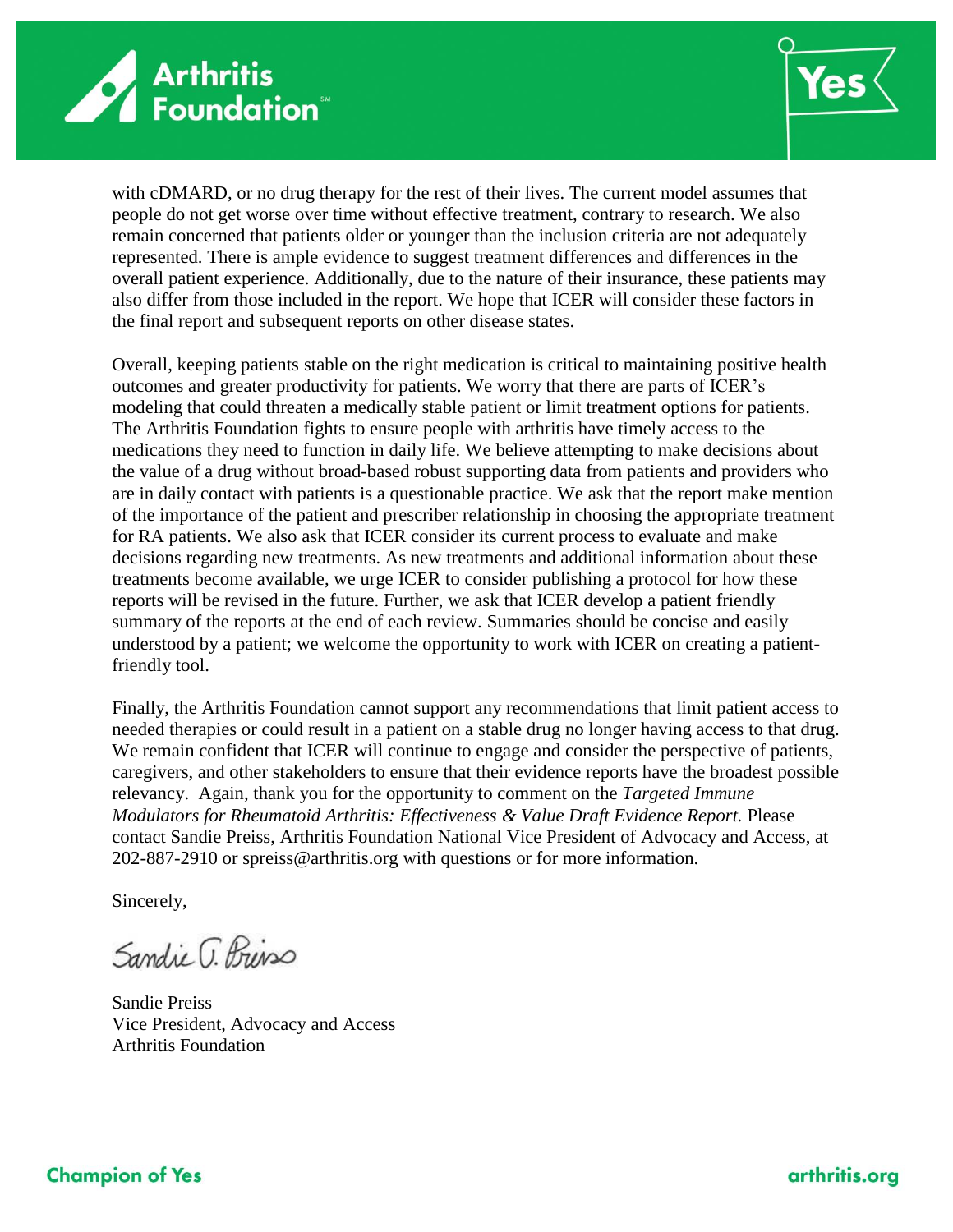



with cDMARD, or no drug therapy for the rest of their lives. The current model assumes that people do not get worse over time without effective treatment, contrary to research. We also remain concerned that patients older or younger than the inclusion criteria are not adequately represented. There is ample evidence to suggest treatment differences and differences in the overall patient experience. Additionally, due to the nature of their insurance, these patients may also differ from those included in the report. We hope that ICER will consider these factors in the final report and subsequent reports on other disease states.

Overall, keeping patients stable on the right medication is critical to maintaining positive health outcomes and greater productivity for patients. We worry that there are parts of ICER's modeling that could threaten a medically stable patient or limit treatment options for patients. The Arthritis Foundation fights to ensure people with arthritis have timely access to the medications they need to function in daily life. We believe attempting to make decisions about the value of a drug without broad-based robust supporting data from patients and providers who are in daily contact with patients is a questionable practice. We ask that the report make mention of the importance of the patient and prescriber relationship in choosing the appropriate treatment for RA patients. We also ask that ICER consider its current process to evaluate and make decisions regarding new treatments. As new treatments and additional information about these treatments become available, we urge ICER to consider publishing a protocol for how these reports will be revised in the future. Further, we ask that ICER develop a patient friendly summary of the reports at the end of each review. Summaries should be concise and easily understood by a patient; we welcome the opportunity to work with ICER on creating a patientfriendly tool.

Finally, the Arthritis Foundation cannot support any recommendations that limit patient access to needed therapies or could result in a patient on a stable drug no longer having access to that drug. We remain confident that ICER will continue to engage and consider the perspective of patients, caregivers, and other stakeholders to ensure that their evidence reports have the broadest possible relevancy. Again, thank you for the opportunity to comment on the *Targeted Immune Modulators for Rheumatoid Arthritis: Effectiveness & Value Draft Evidence Report.* Please contact Sandie Preiss, Arthritis Foundation National Vice President of Advocacy and Access, at 202-887-2910 or spreiss@arthritis.org with questions or for more information.

Sincerely,

Sandie G. Briss

Sandie Preiss Vice President, Advocacy and Access Arthritis Foundation